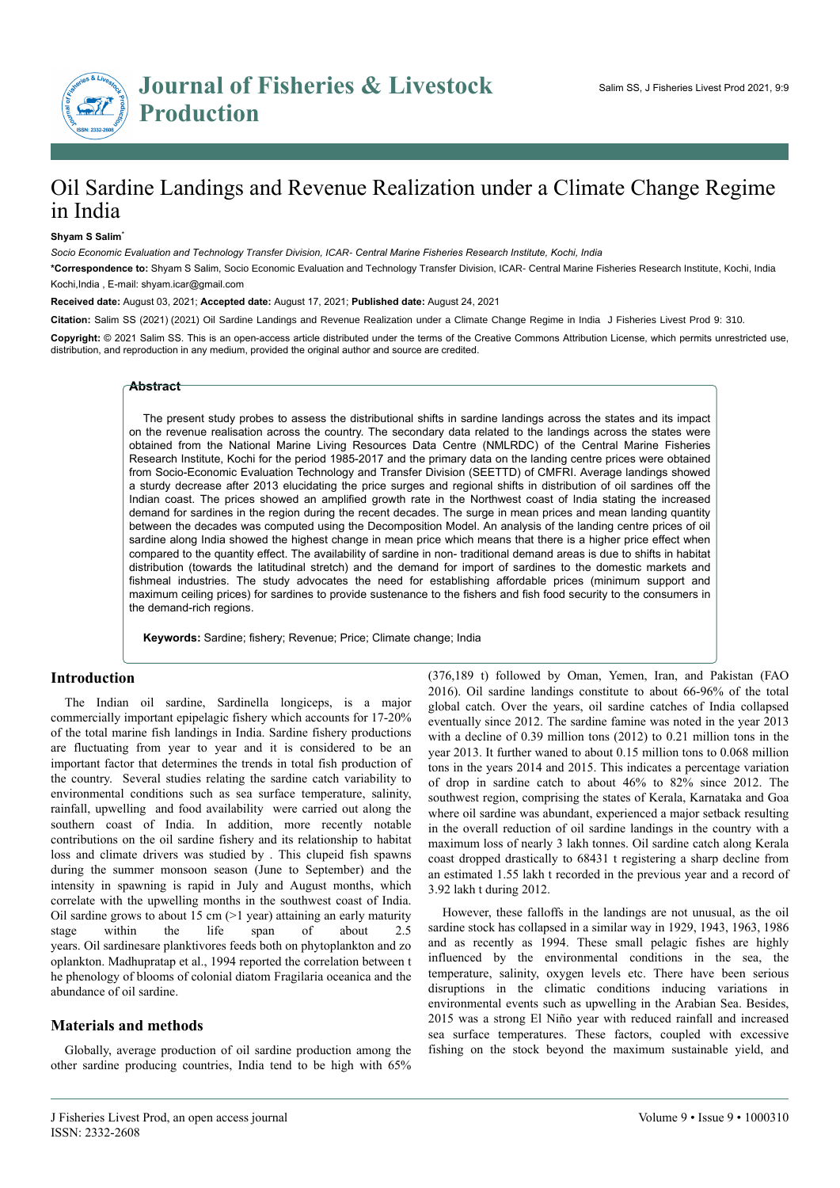Research Article Open Access

# Oil Sardine Landings and Revenue Realization under a Climate Change Regime in India

#### **Shyam S Salim**\*

*Socio Economic Evaluation and Technology Transfer Division, ICAR- Central Marine Fisheries Research Institute, Kochi, India*

**\*Correspondence to:** Shyam S Salim, Socio Economic Evaluation and Technology Transfer Division, ICAR- Central Marine Fisheries Research Institute, Kochi, India Kochi,India , E-mail: shyam.icar@gmail.com

**Received date:** August 03, 2021; **Accepted date:** August 17, 2021; **Published date:** August 24, 2021

**Citation:** Salim SS (2021) (2021) Oil Sardine Landings and Revenue Realization under a Climate Change Regime in India J Fisheries Livest Prod 9: 310.

**Copyright:** © 2021 Salim SS. This is an open-access article distributed under the terms of the Creative Commons Attribution License, which permits unrestricted use, distribution, and reproduction in any medium, provided the original author and source are credited.

#### **Abstract**

The present study probes to assess the distributional shifts in sardine landings across the states and its impact on the revenue realisation across the country. The secondary data related to the landings across the states were obtained from the National Marine Living Resources Data Centre (NMLRDC) of the Central Marine Fisheries Research Institute, Kochi for the period 1985-2017 and the primary data on the landing centre prices were obtained from Socio-Economic Evaluation Technology and Transfer Division (SEETTD) of CMFRI. Average landings showed a sturdy decrease after 2013 elucidating the price surges and regional shifts in distribution of oil sardines off the Indian coast. The prices showed an amplified growth rate in the Northwest coast of India stating the increased demand for sardines in the region during the recent decades. The surge in mean prices and mean landing quantity between the decades was computed using the Decomposition Model. An analysis of the landing centre prices of oil sardine along India showed the highest change in mean price which means that there is a higher price effect when compared to the quantity effect. The availability of sardine in non- traditional demand areas is due to shifts in habitat distribution (towards the latitudinal stretch) and the demand for import of sardines to the domestic markets and fishmeal industries. The study advocates the need for establishing affordable prices (minimum support and maximum ceiling prices) for sardines to provide sustenance to the fishers and fish food security to the consumers in the demand-rich regions.

**Keywords:** Sardine; fishery; Revenue; Price; Climate change; India

### **Introduction**

The Indian oil sardine, Sardinella longiceps, is a major commercially important epipelagic fishery which accounts for 17-20% of the total marine fish landings in India. Sardine fishery productions are fluctuating from year to year and it is considered to be an important factor that determines the trends in total fish production of the country. Several studies relating the sardine catch variability to environmental conditions such as sea surface temperature, salinity, rainfall, upwelling and food availability were carried out along the southern coast of India. In addition, more recently notable contributions on the oil sardine fishery and its relationship to habitat loss and climate drivers was studied by . This clupeid fish spawns during the summer monsoon season (June to September) and the intensity in spawning is rapid in July and August months, which correlate with the upwelling months in the southwest coast of India. Oil sardine grows to about 15 cm  $(>1$  year) attaining an early maturity stage within the life span of about 2.5 years. Oil sardinesare planktivores feeds both on phytoplankton and zo oplankton. Madhupratap et al., 1994 reported the correlation between t he phenology of blooms of colonial diatom Fragilaria oceanica and the abundance of oil sardine.

### **Materials and methods**

Globally, average production of oil sardine production among the other sardine producing countries, India tend to be high with 65%

(376,189 t) followed by Oman, Yemen, Iran, and Pakistan (FAO 2016). Oil sardine landings constitute to about 66-96% of the total global catch. Over the years, oil sardine catches of India collapsed eventually since 2012. The sardine famine was noted in the year 2013 with a decline of 0.39 million tons (2012) to 0.21 million tons in the year 2013. It further waned to about 0.15 million tons to 0.068 million tons in the years 2014 and 2015. This indicates a percentage variation of drop in sardine catch to about 46% to 82% since 2012. The southwest region, comprising the states of Kerala, Karnataka and Goa where oil sardine was abundant, experienced a major setback resulting in the overall reduction of oil sardine landings in the country with a maximum loss of nearly 3 lakh tonnes. Oil sardine catch along Kerala coast dropped drastically to 68431 t registering a sharp decline from an estimated 1.55 lakh t recorded in the previous year and a record of 3.92 lakh t during 2012.

However, these falloffs in the landings are not unusual, as the oil sardine stock has collapsed in a similar way in 1929, 1943, 1963, 1986 and as recently as 1994. These small pelagic fishes are highly influenced by the environmental conditions in the sea, the temperature, salinity, oxygen levels etc. There have been serious disruptions in the climatic conditions inducing variations in environmental events such as upwelling in the Arabian Sea. Besides, 2015 was a strong El Niño year with reduced rainfall and increased sea surface temperatures. These factors, coupled with excessive fishing on the stock beyond the maximum sustainable yield, and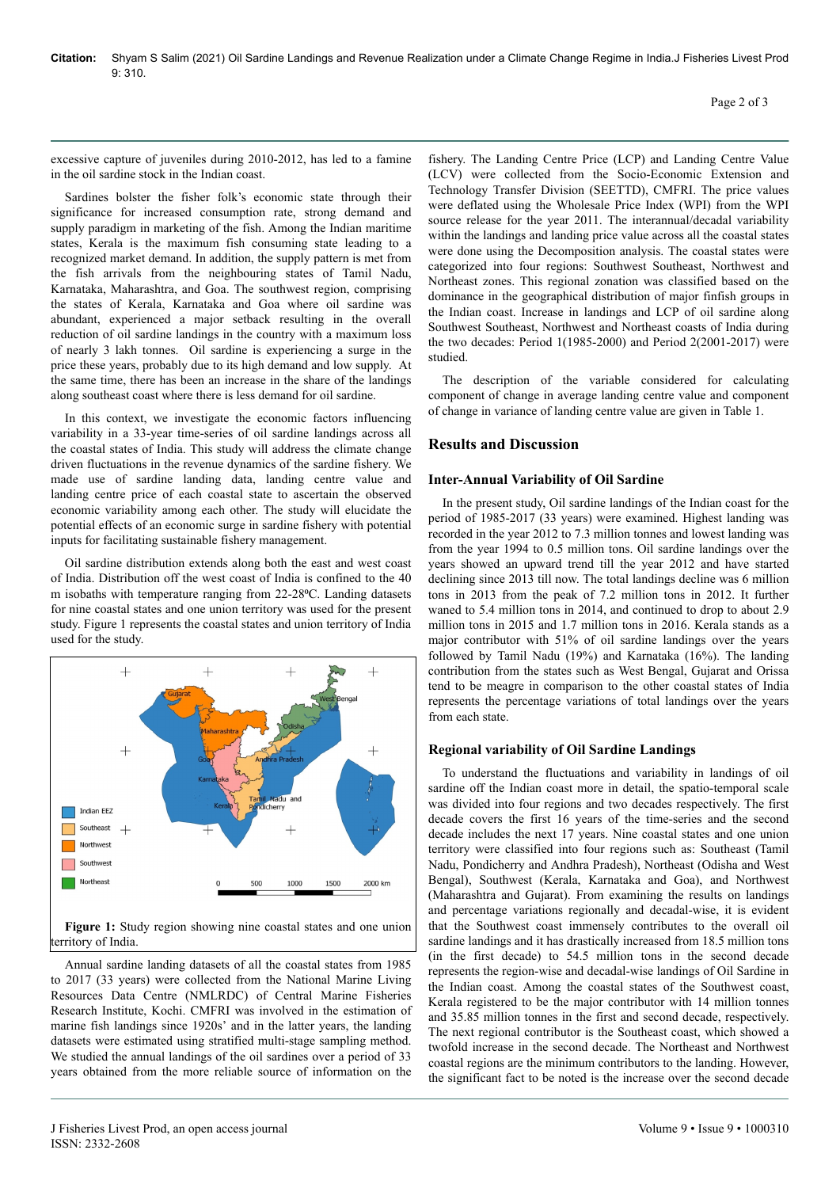excessive capture of juveniles during 2010-2012, has led to a famine in the oil sardine stock in the Indian coast.

Sardines bolster the fisher folk's economic state through their significance for increased consumption rate, strong demand and supply paradigm in marketing of the fish. Among the Indian maritime states, Kerala is the maximum fish consuming state leading to a recognized market demand. In addition, the supply pattern is met from the fish arrivals from the neighbouring states of Tamil Nadu, Karnataka, Maharashtra, and Goa. The southwest region, comprising the states of Kerala, Karnataka and Goa where oil sardine was abundant, experienced a major setback resulting in the overall reduction of oil sardine landings in the country with a maximum loss of nearly 3 lakh tonnes. Oil sardine is experiencing a surge in the price these years, probably due to its high demand and low supply. At the same time, there has been an increase in the share of the landings along southeast coast where there is less demand for oil sardine.

In this context, we investigate the economic factors influencing variability in a 33-year time-series of oil sardine landings across all the coastal states of India. This study will address the climate change driven fluctuations in the revenue dynamics of the sardine fishery. We made use of sardine landing data, landing centre value and landing centre price of each coastal state to ascertain the observed economic variability among each other. The study will elucidate the potential effects of an economic surge in sardine fishery with potential inputs for facilitating sustainable fishery management.

Oil sardine distribution extends along both the east and west coast of India. Distribution off the west coast of India is confined to the 40 m isobaths with temperature ranging from 22-28°C. Landing datasets for nine coastal states and one union territory was used for the present study. Figure 1 represents the coastal states and union territory of India used for the study.



**Figure 1:** Study region showing nine coastal states and one union territory of India.

Annual sardine landing datasets of all the coastal states from 1985 to 2017 (33 years) were collected from the National Marine Living Resources Data Centre (NMLRDC) of Central Marine Fisheries Research Institute, Kochi. CMFRI was involved in the estimation of marine fish landings since 1920s' and in the latter years, the landing datasets were estimated using stratified multi-stage sampling method. We studied the annual landings of the oil sardines over a period of 33 years obtained from the more reliable source of information on the

fishery. The Landing Centre Price (LCP) and Landing Centre Value (LCV) were collected from the Socio-Economic Extension and Technology Transfer Division (SEETTD), CMFRI. The price values were deflated using the Wholesale Price Index (WPI) from the WPI source release for the year 2011. The interannual/decadal variability within the landings and landing price value across all the coastal states were done using the Decomposition analysis. The coastal states were categorized into four regions: Southwest Southeast, Northwest and Northeast zones. This regional zonation was classified based on the dominance in the geographical distribution of major finfish groups in the Indian coast. Increase in landings and LCP of oil sardine along Southwest Southeast, Northwest and Northeast coasts of India during the two decades: Period 1(1985-2000) and Period 2(2001-2017) were studied.

The description of the variable considered for calculating component of change in average landing centre value and component of change in variance of landing centre value are given in Table 1.

## **Results and Discussion**

# **Inter-Annual Variability of Oil Sardine**

In the present study, Oil sardine landings of the Indian coast for the period of 1985-2017 (33 years) were examined. Highest landing was recorded in the year 2012 to 7.3 million tonnes and lowest landing was from the year 1994 to 0.5 million tons. Oil sardine landings over the years showed an upward trend till the year 2012 and have started declining since 2013 till now. The total landings decline was 6 million tons in 2013 from the peak of 7.2 million tons in 2012. It further waned to 5.4 million tons in 2014, and continued to drop to about 2.9 million tons in 2015 and 1.7 million tons in 2016. Kerala stands as a major contributor with 51% of oil sardine landings over the years followed by Tamil Nadu (19%) and Karnataka (16%). The landing contribution from the states such as West Bengal, Gujarat and Orissa tend to be meagre in comparison to the other coastal states of India represents the percentage variations of total landings over the years from each state.

# **Regional variability of Oil Sardine Landings**

To understand the fluctuations and variability in landings of oil sardine off the Indian coast more in detail, the spatio-temporal scale was divided into four regions and two decades respectively. The first decade covers the first 16 years of the time-series and the second decade includes the next 17 years. Nine coastal states and one union territory were classified into four regions such as: Southeast (Tamil Nadu, Pondicherry and Andhra Pradesh), Northeast (Odisha and West Bengal), Southwest (Kerala, Karnataka and Goa), and Northwest (Maharashtra and Gujarat). From examining the results on landings and percentage variations regionally and decadal-wise, it is evident that the Southwest coast immensely contributes to the overall oil sardine landings and it has drastically increased from 18.5 million tons (in the first decade) to 54.5 million tons in the second decade represents the region-wise and decadal-wise landings of Oil Sardine in the Indian coast. Among the coastal states of the Southwest coast, Kerala registered to be the major contributor with 14 million tonnes and 35.85 million tonnes in the first and second decade, respectively. The next regional contributor is the Southeast coast, which showed a twofold increase in the second decade. The Northeast and Northwest coastal regions are the minimum contributors to the landing. However, the significant fact to be noted is the increase over the second decade